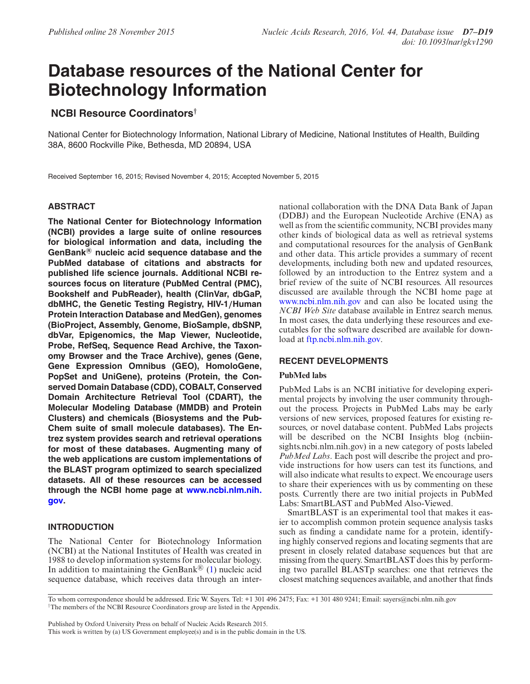# **Database resources of the National Center for Biotechnology Information**

# **NCBI Resource Coordinators***†*

National Center for Biotechnology Information, National Library of Medicine, National Institutes of Health, Building 38A, 8600 Rockville Pike, Bethesda, MD 20894, USA

Received September 16, 2015; Revised November 4, 2015; Accepted November 5, 2015

# **ABSTRACT**

**The National Center for Biotechnology Information (NCBI) provides a large suite of online resources for biological information and data, including the GenBank**-**<sup>R</sup> nucleic acid sequence database and the PubMed database of citations and abstracts for published life science journals. Additional NCBI resources focus on literature (PubMed Central (PMC), Bookshelf and PubReader), health (ClinVar, dbGaP, dbMHC, the Genetic Testing Registry, HIV-1***/***Human Protein Interaction Database and MedGen), genomes (BioProject, Assembly, Genome, BioSample, dbSNP, dbVar, Epigenomics, the Map Viewer, Nucleotide, Probe, RefSeq, Sequence Read Archive, the Taxonomy Browser and the Trace Archive), genes (Gene, Gene Expression Omnibus (GEO), HomoloGene, PopSet and UniGene), proteins (Protein, the Conserved Domain Database (CDD), COBALT, Conserved Domain Architecture Retrieval Tool (CDART), the Molecular Modeling Database (MMDB) and Protein Clusters) and chemicals (Biosystems and the Pub-Chem suite of small molecule databases). The Entrez system provides search and retrieval operations for most of these databases. Augmenting many of the web applications are custom implementations of the BLAST program optimized to search specialized datasets. All of these resources can be accessed [through the NCBI home page at](http://www.ncbi.nlm.nih.gov) www.ncbi.nlm.nih. gov.**

# **INTRODUCTION**

The National Center for Biotechnology Information (NCBI) at the National Institutes of Health was created in 1988 to develop information systems for molecular biology. In addition to maintaining the GenBank<sup>( $\&$ </sup>) [\(1\)](#page-10-0) nucleic acid sequence database, which receives data through an international collaboration with the DNA Data Bank of Japan (DDBJ) and the European Nucleotide Archive (ENA) as well as from the scientific community, NCBI provides many other kinds of biological data as well as retrieval systems and computational resources for the analysis of GenBank and other data. This article provides a summary of recent developments, including both new and updated resources, followed by an introduction to the Entrez system and a brief review of the suite of NCBI resources. All resources discussed are available through the NCBI home page at [www.ncbi.nlm.nih.gov](http://www.ncbi.nlm.nih.gov) and can also be located using the *NCBI Web Site* database available in Entrez search menus. In most cases, the data underlying these resources and executables for the software described are available for download at [ftp.ncbi.nlm.nih.gov.](ftp://ftp.ncbi.nlm.nih.gov)

# **RECENT DEVELOPMENTS**

# **PubMed labs**

PubMed Labs is an NCBI initiative for developing experimental projects by involving the user community throughout the process. Projects in PubMed Labs may be early versions of new services, proposed features for existing resources, or novel database content. PubMed Labs projects will be described on the NCBI Insights blog (ncbiinsights.ncbi.nlm.nih.gov) in a new category of posts labeled *PubMed Labs*. Each post will describe the project and provide instructions for how users can test its functions, and will also indicate what results to expect. We encourage users to share their experiences with us by commenting on these posts. Currently there are two initial projects in PubMed Labs: SmartBLAST and PubMed Also-Viewed.

SmartBLAST is an experimental tool that makes it easier to accomplish common protein sequence analysis tasks such as finding a candidate name for a protein, identifying highly conserved regions and locating segments that are present in closely related database sequences but that are missing from the query. SmartBLAST does this by performing two parallel BLASTp searches: one that retrieves the closest matching sequences available, and another that finds

To whom correspondence should be addressed. Eric W. Sayers. Tel: +1 301 496 2475; Fax: +1 301 480 9241; Email: sayers@ncbi.nlm.nih.gov †The members of the NCBI Resource Coordinators group are listed in the Appendix.

Published by Oxford University Press on behalf of Nucleic Acids Research 2015.

This work is written by (a) US Government employee(s) and is in the public domain in the US.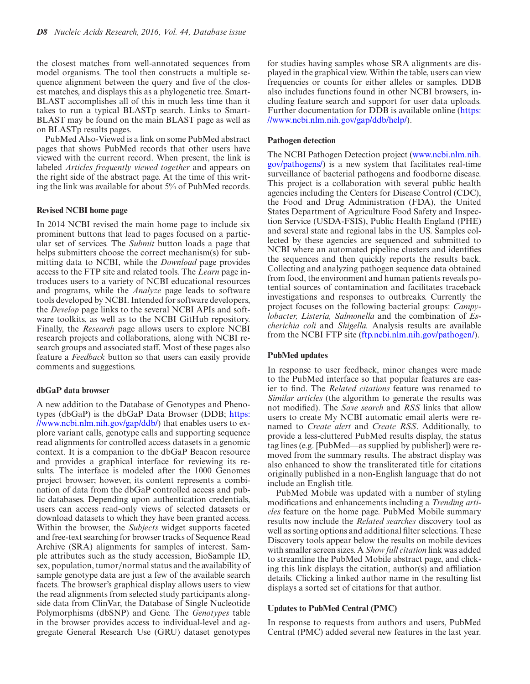the closest matches from well-annotated sequences from model organisms. The tool then constructs a multiple sequence alignment between the query and five of the closest matches, and displays this as a phylogenetic tree. Smart-BLAST accomplishes all of this in much less time than it takes to run a typical BLASTp search. Links to Smart-BLAST may be found on the main BLAST page as well as on BLASTp results pages.

PubMed Also-Viewed is a link on some PubMed abstract pages that shows PubMed records that other users have viewed with the current record. When present, the link is labeled *Articles frequently viewed together* and appears on the right side of the abstract page. At the time of this writing the link was available for about 5% of PubMed records.

#### **Revised NCBI home page**

In 2014 NCBI revised the main home page to include six prominent buttons that lead to pages focused on a particular set of services. The *Submit* button loads a page that helps submitters choose the correct mechanism(s) for submitting data to NCBI, while the *Download* page provides access to the FTP site and related tools. The *Learn* page introduces users to a variety of NCBI educational resources and programs, while the *Analyze* page leads to software tools developed by NCBI. Intended for software developers, the *Develop* page links to the several NCBI APIs and software toolkits, as well as to the NCBI GitHub repository. Finally, the *Research* page allows users to explore NCBI research projects and collaborations, along with NCBI research groups and associated staff. Most of these pages also feature a *Feedback* button so that users can easily provide comments and suggestions.

# **dbGaP data browser**

A new addition to the Database of Genotypes and Phenotypes (dbGaP) is the dbGaP Data Browser (DDB; https: [//www.ncbi.nlm.nih.gov/gap/ddb/\) that enables users to ex](https://www.ncbi.nlm.nih.gov/gap/ddb/)plore variant calls, genotype calls and supporting sequence read alignments for controlled access datasets in a genomic context. It is a companion to the dbGaP Beacon resource and provides a graphical interface for reviewing its results. The interface is modeled after the 1000 Genomes project browser; however, its content represents a combination of data from the dbGaP controlled access and public databases. Depending upon authentication credentials, users can access read-only views of selected datasets or download datasets to which they have been granted access. Within the browser, the *Subjects* widget supports faceted and free-text searching for browser tracks of Sequence Read Archive (SRA) alignments for samples of interest. Sample attributes such as the study accession, BioSample ID, sex, population, tumor/normal status and the availability of sample genotype data are just a few of the available search facets. The browser's graphical display allows users to view the read alignments from selected study participants alongside data from ClinVar, the Database of Single Nucleotide Polymorphisms (dbSNP) and Gene. The *Genotypes* table in the browser provides access to individual-level and aggregate General Research Use (GRU) dataset genotypes

for studies having samples whose SRA alignments are displayed in the graphical view. Within the table, users can view frequencies or counts for either alleles or samples. DDB also includes functions found in other NCBI browsers, including feature search and support for user data uploads. [Further documentation for DDB is available online \(https:](https://www.ncbi.nlm.nih.gov/gap/ddb/help/) //www.ncbi.nlm.nih.gov/gap/ddb/help/).

# **Pathogen detection**

[The NCBI Pathogen Detection project \(www.ncbi.nlm.nih.](http://www.ncbi.nlm.nih.gov/pathogens/) gov/pathogens/) is a new system that facilitates real-time surveillance of bacterial pathogens and foodborne disease. This project is a collaboration with several public health agencies including the Centers for Disease Control (CDC), the Food and Drug Administration (FDA), the United States Department of Agriculture Food Safety and Inspection Service (USDA-FSIS), Public Health England (PHE) and several state and regional labs in the US. Samples collected by these agencies are sequenced and submitted to NCBI where an automated pipeline clusters and identifies the sequences and then quickly reports the results back. Collecting and analyzing pathogen sequence data obtained from food, the environment and human patients reveals potential sources of contamination and facilitates traceback investigations and responses to outbreaks. Currently the project focuses on the following bacterial groups: *Campylobacter, Listeria, Salmonella* and the combination of *Escherichia coli* and *Shigella.* Analysis results are available from the NCBI FTP site [\(ftp.ncbi.nlm.nih.gov/pathogen/\)](ftp://ftp.ncbi.nlm.nih.gov/pathogen/).

#### **PubMed updates**

In response to user feedback, minor changes were made to the PubMed interface so that popular features are easier to find. The *Related citations* feature was renamed to *Similar articles* (the algorithm to generate the results was not modified). The *Save search* and *RSS* links that allow users to create My NCBI automatic email alerts were renamed to *Create alert* and *Create RSS*. Additionally, to provide a less-cluttered PubMed results display, the status tag lines (e.g. [PubMed––as supplied by publisher]) were removed from the summary results. The abstract display was also enhanced to show the transliterated title for citations originally published in a non-English language that do not include an English title.

PubMed Mobile was updated with a number of styling modifications and enhancements including a *Trending articles* feature on the home page. PubMed Mobile summary results now include the *Related searches* discovery tool as well as sorting options and additional filter selections. These Discovery tools appear below the results on mobile devices with smaller screen sizes. A *Show full citation* link was added to streamline the PubMed Mobile abstract page, and clicking this link displays the citation, author(s) and affiliation details. Clicking a linked author name in the resulting list displays a sorted set of citations for that author.

#### **Updates to PubMed Central (PMC)**

In response to requests from authors and users, PubMed Central (PMC) added several new features in the last year.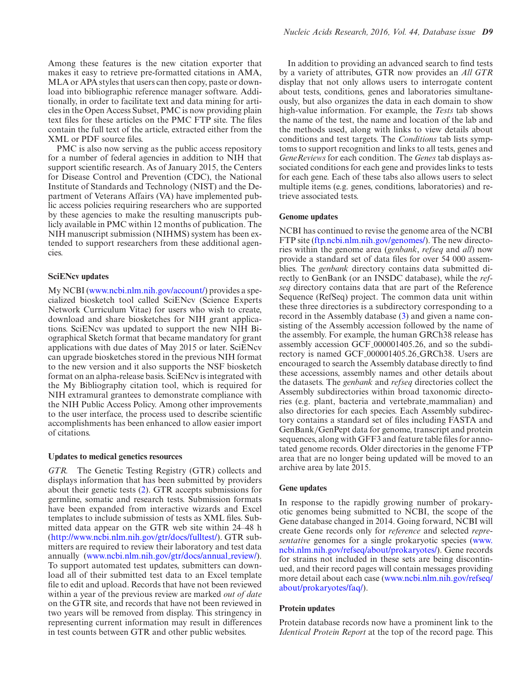Among these features is the new citation exporter that makes it easy to retrieve pre-formatted citations in AMA, MLA or APA styles that users can then copy, paste or download into bibliographic reference manager software. Additionally, in order to facilitate text and data mining for articles in the Open Access Subset, PMC is now providing plain text files for these articles on the PMC FTP site. The files contain the full text of the article, extracted either from the XML or PDF source files.

PMC is also now serving as the public access repository for a number of federal agencies in addition to NIH that support scientific research. As of January 2015, the Centers for Disease Control and Prevention (CDC), the National Institute of Standards and Technology (NIST) and the Department of Veterans Affairs (VA) have implemented public access policies requiring researchers who are supported by these agencies to make the resulting manuscripts publicly available in PMC within 12 months of publication. The NIH manuscript submission (NIHMS) system has been extended to support researchers from these additional agencies.

### **SciENcv updates**

My NCBI [\(www.ncbi.nlm.nih.gov/account/\)](http://www.ncbi.nlm.nih.gov/account/) provides a specialized biosketch tool called SciENcv (Science Experts Network Curriculum Vitae) for users who wish to create, download and share biosketches for NIH grant applications. SciENcv was updated to support the new NIH Biographical Sketch format that became mandatory for grant applications with due dates of May 2015 or later. SciENcv can upgrade biosketches stored in the previous NIH format to the new version and it also supports the NSF biosketch format on an alpha-release basis. SciENcv is integrated with the My Bibliography citation tool, which is required for NIH extramural grantees to demonstrate compliance with the NIH Public Access Policy. Among other improvements to the user interface, the process used to describe scientific accomplishments has been enhanced to allow easier import of citations.

#### **Updates to medical genetics resources**

*GTR.* The Genetic Testing Registry (GTR) collects and displays information that has been submitted by providers about their genetic tests [\(2\)](#page-10-0). GTR accepts submissions for germline, somatic and research tests. Submission formats have been expanded from interactive wizards and Excel templates to include submission of tests as XML files. Submitted data appear on the GTR web site within 24–48 h [\(http://www.ncbi.nlm.nih.gov/gtr/docs/fulltest/\)](http://www.ncbi.nlm.nih.gov/gtr/docs/fulltest/). GTR submitters are required to review their laboratory and test data annually [\(www.ncbi.nlm.nih.gov/gtr/docs/annual](http://www.ncbi.nlm.nih.gov/gtr/docs/annual_review/)\_review/). To support automated test updates, submitters can download all of their submitted test data to an Excel template file to edit and upload. Records that have not been reviewed within a year of the previous review are marked *out of date* on the GTR site, and records that have not been reviewed in two years will be removed from display. This stringency in representing current information may result in differences in test counts between GTR and other public websites.

In addition to providing an advanced search to find tests by a variety of attributes, GTR now provides an *All GTR* display that not only allows users to interrogate content about tests, conditions, genes and laboratories simultaneously, but also organizes the data in each domain to show high-value information. For example, the *Tests* tab shows the name of the test, the name and location of the lab and the methods used, along with links to view details about conditions and test targets. The *Conditions* tab lists symptoms to support recognition and links to all tests, genes and *GeneReviews* for each condition. The *Genes* tab displays associated conditions for each gene and provides links to tests for each gene. Each of these tabs also allows users to select multiple items (e.g. genes, conditions, laboratories) and retrieve associated tests.

### **Genome updates**

NCBI has continued to revise the genome area of the NCBI FTP site [\(ftp.ncbi.nlm.nih.gov/genomes/\)](ftp://ftp.ncbi.nlm.nih.gov/genomes/). The new directories within the genome area (*genbank*, *refseq* and *all*) now provide a standard set of data files for over 54 000 assemblies. The *genbank* directory contains data submitted directly to GenBank (or an INSDC database), while the *refseq* directory contains data that are part of the Reference Sequence (RefSeq) project. The common data unit within these three directories is a subdirectory corresponding to a record in the Assembly database [\(3\)](#page-10-0) and given a name consisting of the Assembly accession followed by the name of the assembly. For example, the human GRCh38 release has assembly accession GCF 000001405.26, and so the subdirectory is named GCF 000001405.26 GRCh38. Users are encouraged to search the Assembly database directly to find these accessions, assembly names and other details about the datasets. The *genbank* and *refseq* directories collect the Assembly subdirectories within broad taxonomic directories (e.g. plant, bacteria and vertebrate mammalian) and also directories for each species. Each Assembly subdirectory contains a standard set of files including FASTA and GenBank/GenPept data for genome, transcript and protein sequences, along with GFF3 and feature table files for annotated genome records. Older directories in the genome FTP area that are no longer being updated will be moved to an archive area by late 2015.

#### **Gene updates**

In response to the rapidly growing number of prokaryotic genomes being submitted to NCBI, the scope of the Gene database changed in 2014. Going forward, NCBI will create Gene records only for *reference* and selected *representative* genomes for a single prokaryotic species (www. [ncbi.nlm.nih.gov/refseq/about/prokaryotes/\). Gene records](http://www.ncbi.nlm.nih.gov/refseq/about/prokaryotes/) for strains not included in these sets are being discontinued, and their record pages will contain messages providing [more detail about each case \(www.ncbi.nlm.nih.gov/refseq/](http://www.ncbi.nlm.nih.gov/refseq/about/prokaryotes/faq/) about/prokaryotes/faq/).

#### **Protein updates**

Protein database records now have a prominent link to the *Identical Protein Report* at the top of the record page. This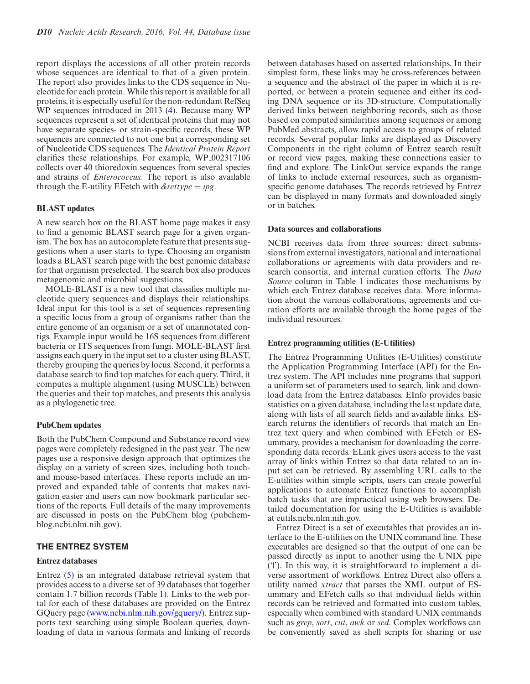report displays the accessions of all other protein records whose sequences are identical to that of a given protein. The report also provides links to the CDS sequence in Nucleotide for each protein. While this report is available for all proteins, it is especially useful for the non-redundant RefSeq WP sequences introduced in 2013 [\(4\)](#page-10-0). Because many WP sequences represent a set of identical proteins that may not have separate species- or strain-specific records, these WP sequences are connected to not one but a corresponding set of Nucleotide CDS sequences. The *Identical Protein Report* clarifies these relationships. For example, WP 002317106 collects over 40 thioredoxin sequences from several species and strains of *Enterococcus.* The report is also available through the E-utility EFetch with  $\&$ *rettype* = *ipg*.

# **BLAST updates**

A new search box on the BLAST home page makes it easy to find a genomic BLAST search page for a given organism. The box has an autocomplete feature that presents suggestions when a user starts to type. Choosing an organism loads a BLAST search page with the best genomic database for that organism preselected. The search box also produces metagenomic and microbial suggestions.

MOLE-BLAST is a new tool that classifies multiple nucleotide query sequences and displays their relationships. Ideal input for this tool is a set of sequences representing a specific locus from a group of organisms rather than the entire genome of an organism or a set of unannotated contigs. Example input would be 16S sequences from different bacteria or ITS sequences from fungi. MOLE-BLAST first assigns each query in the input set to a cluster using BLAST, thereby grouping the queries by locus. Second, it performs a database search to find top matches for each query. Third, it computes a multiple alignment (using MUSCLE) between the queries and their top matches, and presents this analysis as a phylogenetic tree.

### **PubChem updates**

Both the PubChem Compound and Substance record view pages were completely redesigned in the past year. The new pages use a responsive design approach that optimizes the display on a variety of screen sizes, including both touchand mouse-based interfaces. These reports include an improved and expanded table of contents that makes navigation easier and users can now bookmark particular sections of the reports. Full details of the many improvements are discussed in posts on the PubChem blog (pubchemblog.ncbi.nlm.nih.gov).

# **THE ENTREZ SYSTEM**

# **Entrez databases**

Entrez [\(5\)](#page-10-0) is an integrated database retrieval system that provides access to a diverse set of 39 databases that together contain 1.7 billion records (Table [1\)](#page-4-0). Links to the web portal for each of these databases are provided on the Entrez GQuery page [\(www.ncbi.nlm.nih.gov/gquery/\)](http://www.ncbi.nlm.nih.gov/gquery/). Entrez supports text searching using simple Boolean queries, downloading of data in various formats and linking of records

between databases based on asserted relationships. In their simplest form, these links may be cross-references between a sequence and the abstract of the paper in which it is reported, or between a protein sequence and either its coding DNA sequence or its 3D-structure. Computationally derived links between neighboring records, such as those based on computed similarities among sequences or among PubMed abstracts, allow rapid access to groups of related records. Several popular links are displayed as Discovery Components in the right column of Entrez search result or record view pages, making these connections easier to find and explore. The LinkOut service expands the range of links to include external resources, such as organismspecific genome databases. The records retrieved by Entrez can be displayed in many formats and downloaded singly or in batches.

#### **Data sources and collaborations**

NCBI receives data from three sources: direct submissions from external investigators, national and international collaborations or agreements with data providers and research consortia, and internal curation efforts. The *Data Source* column in Table [1](#page-4-0) indicates those mechanisms by which each Entrez database receives data. More information about the various collaborations, agreements and curation efforts are available through the home pages of the individual resources.

#### **Entrez programming utilities (E-Utilities)**

The Entrez Programming Utilities (E-Utilities) constitute the Application Programming Interface (API) for the Entrez system. The API includes nine programs that support a uniform set of parameters used to search, link and download data from the Entrez databases. EInfo provides basic statistics on a given database, including the last update date, along with lists of all search fields and available links. ESearch returns the identifiers of records that match an Entrez text query and when combined with EFetch or ESummary, provides a mechanism for downloading the corresponding data records. ELink gives users access to the vast array of links within Entrez so that data related to an input set can be retrieved. By assembling URL calls to the E-utilities within simple scripts, users can create powerful applications to automate Entrez functions to accomplish batch tasks that are impractical using web browsers. Detailed documentation for using the E-Utilities is available at eutils.ncbi.nlm.nih.gov.

Entrez Direct is a set of executables that provides an interface to the E-utilities on the UNIX command line. These executables are designed so that the output of one can be passed directly as input to another using the UNIX pipe ('|'). In this way, it is straightforward to implement a diverse assortment of workflows. Entrez Direct also offers a utility named *xtract* that parses the XML output of ESummary and EFetch calls so that individual fields within records can be retrieved and formatted into custom tables, especially when combined with standard UNIX commands such as *grep*, *sort*, *cut*, *awk* or *sed*. Complex workflows can be conveniently saved as shell scripts for sharing or use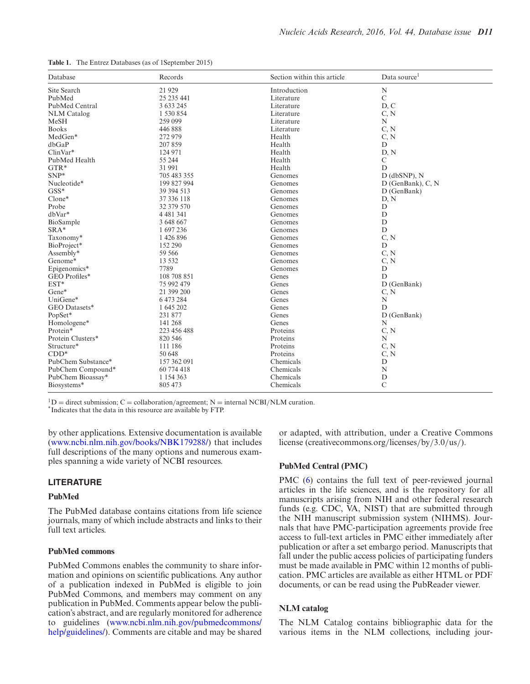| Database              | Records                 | Section within this article | Data source <sup>1</sup> |
|-----------------------|-------------------------|-----------------------------|--------------------------|
|                       |                         |                             |                          |
| Site Search<br>PubMed | 21 9 29                 | Introduction                | N<br>${\bf C}$           |
| PubMed Central        | 25 235 441<br>3 633 245 | Literature<br>Literature    |                          |
|                       | 1 530 854               | Literature                  | D, C                     |
| <b>NLM</b> Catalog    |                         |                             | C, N                     |
| MeSH                  | 259 099                 | Literature                  | N                        |
| <b>Books</b>          | 446 888                 | Literature                  | C, N                     |
| MedGen*               | 272 979                 | Health                      | C, N                     |
| dbGaP                 | 207 859                 | Health                      | D                        |
| ClinVar*              | 124 971                 | Health                      | D, N                     |
| PubMed Health         | 55 244                  | Health                      | C                        |
| GTR*                  | 31 991                  | Health                      | D                        |
| $SNP*$                | 705 483 355             | Genomes                     | $D$ (dbSNP), N           |
| Nucleotide*           | 199 827 994             | Genomes                     | D (GenBank), C, N        |
| $GSS*$                | 39 394 513              | Genomes                     | D (GenBank)              |
| Clone*                | 37 336 118              | Genomes                     | D, N                     |
| Probe                 | 32 379 570              | Genomes                     | D                        |
| dbVar*                | 4 4 8 1 3 4 1           | Genomes                     | $\mathbf D$              |
| BioSample             | 3 648 667               | Genomes                     | D                        |
| SRA*                  | 1 697 236               | Genomes                     | D                        |
| Taxonomy*             | 1 426 896               | Genomes                     | C, N                     |
| BioProject*           | 152 290                 | Genomes                     | D                        |
| Assembly*             | 59 566                  | Genomes                     | C, N                     |
| Genome*               | 13 5 32                 | Genomes                     | C, N                     |
| Epigenomics*          | 7789                    | Genomes                     | D                        |
| GEO Profiles*         | 108 708 851             | Genes                       | D                        |
| EST*                  | 75 992 479              | Genes                       | D (GenBank)              |
| Gene*                 | 21 399 200              | Genes                       | C, N                     |
| UniGene*              | 6 473 284               | Genes                       | N                        |
| GEO Datasets*         | 1 645 202               | Genes                       | D                        |
| PopSet*               | 231 877                 | Genes                       | $D$ (GenBank)            |
| Homologene*           | 141 268                 | Genes                       | N                        |
| Protein*              | 223 456 488             | Proteins                    | C, N                     |
| Protein Clusters*     | 820 546                 | Proteins                    | N                        |
| Structure*            | 111 186                 | Proteins                    | C, N                     |
| $CDD*$                | 50 648                  | Proteins                    | C, N                     |
| PubChem Substance*    | 157 362 091             | Chemicals                   | D                        |
| PubChem Compound*     | 60 774 418              | Chemicals                   | N                        |
| PubChem Bioassay*     | 1 1 5 4 3 6 3           | Chemicals                   | D                        |
| Biosystems*           | 805 473                 | Chemicals                   | $\mathsf{C}$             |

<span id="page-4-0"></span>**Table 1.** The Entrez Databases (as of 1September 2015)

 ${}^{1}D$  = direct submission; C = collaboration/agreement; N = internal NCBI/NLM curation. \*Indicates that the data in this resource are available by FTP.

by other applications. Extensive documentation is available [\(www.ncbi.nlm.nih.gov/books/NBK179288/\)](http://www.ncbi.nlm.nih.gov/books/NBK179288/) that includes full descriptions of the many options and numerous examples spanning a wide variety of NCBI resources.

### **LITERATURE**

### **PubMed**

The PubMed database contains citations from life science journals, many of which include abstracts and links to their full text articles.

# **PubMed commons**

PubMed Commons enables the community to share information and opinions on scientific publications. Any author of a publication indexed in PubMed is eligible to join PubMed Commons, and members may comment on any publication in PubMed. Comments appear below the publication's abstract, and are regularly monitored for adherence to guidelines (www.ncbi.nlm.nih.gov/pubmedcommons/ [help/guidelines/\). Comments are citable and may be shared](http://www.ncbi.nlm.nih.gov/pubmedcommons/help/guidelines/) or adapted, with attribution, under a Creative Commons license (creativecommons.org/licenses/by/3.0/us/).

### **PubMed Central (PMC)**

PMC [\(6\)](#page-10-0) contains the full text of peer-reviewed journal articles in the life sciences, and is the repository for all manuscripts arising from NIH and other federal research funds (e.g. CDC, VA, NIST) that are submitted through the NIH manuscript submission system (NIHMS). Journals that have PMC-participation agreements provide free access to full-text articles in PMC either immediately after publication or after a set embargo period. Manuscripts that fall under the public access policies of participating funders must be made available in PMC within 12 months of publication. PMC articles are available as either HTML or PDF documents, or can be read using the PubReader viewer.

## **NLM catalog**

The NLM Catalog contains bibliographic data for the various items in the NLM collections, including jour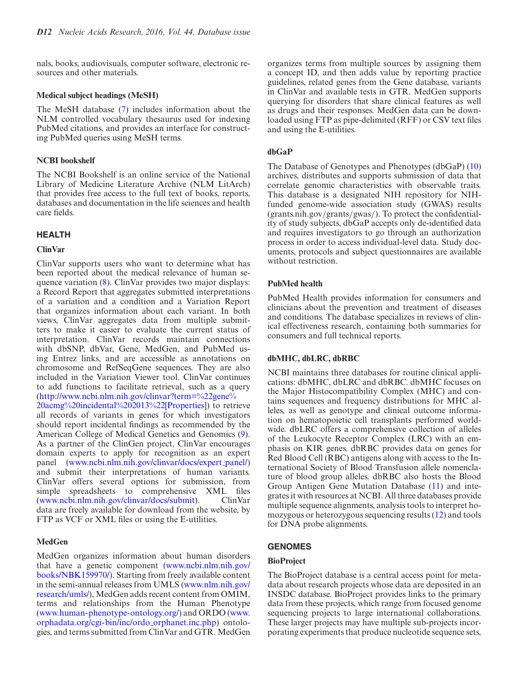nals, books, audiovisuals, computer software, electronic resources and other materials.

# **Medical subject headings (MeSH)**

The MeSH database [\(7\)](#page-10-0) includes information about the NLM controlled vocabulary thesaurus used for indexing PubMed citations, and provides an interface for constructing PubMed queries using MeSH terms.

# **NCBI bookshelf**

The NCBI Bookshelf is an online service of the National Library of Medicine Literature Archive (NLM LitArch) that provides free access to the full text of books, reports, databases and documentation in the life sciences and health care fields.

# **HEALTH**

# **ClinVar**

ClinVar supports users who want to determine what has been reported about the medical relevance of human sequence variation [\(8\)](#page-10-0). ClinVar provides two major displays: a Record Report that aggregates submitted interpretations of a variation and a condition and a Variation Report that organizes information about each variant. In both views, ClinVar aggregates data from multiple submitters to make it easier to evaluate the current status of interpretation. ClinVar records maintain connections with dbSNP, dbVar, Gene, MedGen, and PubMed using Entrez links, and are accessible as annotations on chromosome and RefSeqGene sequences. They are also included in the Variation Viewer tool. ClinVar continues to add functions to facilitate retrieval, such as a query (http://www.ncbi.nlm.nih.gov/clinvar?term=%22gene%

[20acmg%20incidental%202013%22\[Properties\]\) to retri](http://www.ncbi.nlm.nih.gov/clinvar?term=%22gene%20acmg%20incidental%202013%22[Properties)eve all records of variants in genes for which investigators should report incidental findings as recommended by the American College of Medical Genetics and Genomics [\(9\)](#page-10-0). As a partner of the ClinGen project, ClinVar encourages domain experts to apply for recognition as an expert panel [\(www.ncbi.nlm.nih.gov/clinvar/docs/expert](http://www.ncbi.nlm.nih.gov/clinvar/docs/expert_panel/) panel/) and submit their interpretations of human variants. ClinVar offers several options for submission, from simple spreadsheets to comprehensive XML files [\(www.ncbi.nlm.nih.gov/clinvar/docs/submit\)](http://www.ncbi.nlm.nih.gov/clinvar/docs/submit). ClinVar data are freely available for download from the website, by FTP as VCF or XML files or using the E-utilities.

# **MedGen**

MedGen organizes information about human disorders that have a genetic component (www.ncbi.nlm.nih.gov/ [books/NBK159970/\). Starting from freely available content](http://www.ncbi.nlm.nih.gov/books/NBK159970/) in the semi-annual releases from UMLS (www.nlm.nih.gov/ [research/umls/\), MedGen adds recent content from OMIM,](http://www.nlm.nih.gov/research/umls/) terms and relationships from the Human Phenotype [\(www.human-phenotype-ontology.org/\) and ORDO \(www.](http://www.orphadata.org/cgi-bin/inc/ordo_orphanet.inc.php) orphadata.org/cgi-bin/inc/ordo orphanet.inc.php) ontologies, and terms submitted from ClinVar and GTR. MedGen organizes terms from multiple sources by assigning them a concept ID, and then adds value by reporting practice guidelines, related genes from the Gene database, variants in ClinVar and available tests in GTR. MedGen supports querying for disorders that share clinical features as well as drugs and their responses. MedGen data can be downloaded using FTP as pipe-delimited (RFF) or CSV text files and using the E-utilities.

# **dbGaP**

The Database of Genotypes and Phenotypes (dbGaP) [\(10\)](#page-10-0) archives, distributes and supports submission of data that correlate genomic characteristics with observable traits. This database is a designated NIH repository for NIHfunded genome-wide association study (GWAS) results (grants.nih.gov/grants/gwas/). To protect the confidentiality of study subjects, dbGaP accepts only de-identified data and requires investigators to go through an authorization process in order to access individual-level data. Study documents, protocols and subject questionnaires are available without restriction.

# **PubMed health**

PubMed Health provides information for consumers and clinicians about the prevention and treatment of diseases and conditions. The database specializes in reviews of clinical effectiveness research, containing both summaries for consumers and full technical reports.

# **dbMHC, dbLRC, dbRBC**

NCBI maintains three databases for routine clinical applications: dbMHC, dbLRC and dbRBC. dbMHC focuses on the Major Histocompatibility Complex (MHC) and contains sequences and frequency distributions for MHC alleles, as well as genotype and clinical outcome information on hematopoietic cell transplants performed worldwide. dbLRC offers a comprehensive collection of alleles of the Leukocyte Receptor Complex (LRC) with an emphasis on KIR genes. dbRBC provides data on genes for Red Blood Cell (RBC) antigens along with access to the International Society of Blood Transfusion allele nomenclature of blood group alleles. dbRBC also hosts the Blood Group Antigen Gene Mutation Database [\(11\)](#page-10-0) and integrates it with resources at NCBI. All three databases provide multiple sequence alignments, analysis tools to interpret homozygous or heterozygous sequencing results [\(12\)](#page-10-0) and tools for DNA probe alignments.

# **GENOMES**

# **BioProject**

The BioProject database is a central access point for metadata about research projects whose data are deposited in an INSDC database. BioProject provides links to the primary data from these projects, which range from focused genome sequencing projects to large international collaborations. These larger projects may have multiple sub-projects incorporating experiments that produce nucleotide sequence sets,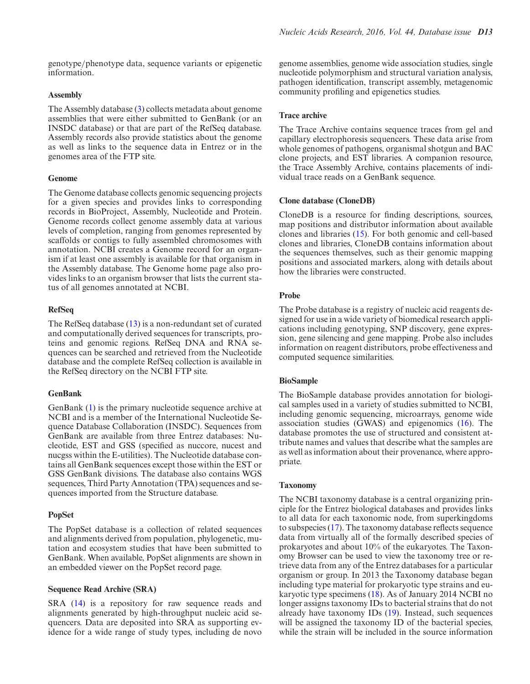genotype/phenotype data, sequence variants or epigenetic information.

# **Assembly**

The Assembly database [\(3\)](#page-10-0) collects metadata about genome assemblies that were either submitted to GenBank (or an INSDC database) or that are part of the RefSeq database. Assembly records also provide statistics about the genome as well as links to the sequence data in Entrez or in the genomes area of the FTP site.

# **Genome**

The Genome database collects genomic sequencing projects for a given species and provides links to corresponding records in BioProject, Assembly, Nucleotide and Protein. Genome records collect genome assembly data at various levels of completion, ranging from genomes represented by scaffolds or contigs to fully assembled chromosomes with annotation. NCBI creates a Genome record for an organism if at least one assembly is available for that organism in the Assembly database. The Genome home page also provides links to an organism browser that lists the current status of all genomes annotated at NCBI.

# **RefSeq**

The RefSeq database [\(13\)](#page-10-0) is a non-redundant set of curated and computationally derived sequences for transcripts, proteins and genomic regions. RefSeq DNA and RNA sequences can be searched and retrieved from the Nucleotide database and the complete RefSeq collection is available in the RefSeq directory on the NCBI FTP site.

### **GenBank**

GenBank [\(1\)](#page-10-0) is the primary nucleotide sequence archive at NCBI and is a member of the International Nucleotide Sequence Database Collaboration (INSDC). Sequences from GenBank are available from three Entrez databases: Nucleotide, EST and GSS (specified as nuccore, nucest and nucgss within the E-utilities). The Nucleotide database contains all GenBank sequences except those within the EST or GSS GenBank divisions. The database also contains WGS sequences, Third Party Annotation (TPA) sequences and sequences imported from the Structure database.

### **PopSet**

The PopSet database is a collection of related sequences and alignments derived from population, phylogenetic, mutation and ecosystem studies that have been submitted to GenBank. When available, PopSet alignments are shown in an embedded viewer on the PopSet record page.

#### **Sequence Read Archive (SRA)**

SRA [\(14\)](#page-11-0) is a repository for raw sequence reads and alignments generated by high-throughput nucleic acid sequencers. Data are deposited into SRA as supporting evidence for a wide range of study types, including de novo genome assemblies, genome wide association studies, single nucleotide polymorphism and structural variation analysis, pathogen identification, transcript assembly, metagenomic community profiling and epigenetics studies.

# **Trace archive**

The Trace Archive contains sequence traces from gel and capillary electrophoresis sequencers. These data arise from whole genomes of pathogens, organismal shotgun and BAC clone projects, and EST libraries. A companion resource, the Trace Assembly Archive, contains placements of individual trace reads on a GenBank sequence.

### **Clone database (CloneDB)**

CloneDB is a resource for finding descriptions, sources, map positions and distributor information about available clones and libraries [\(15\)](#page-11-0). For both genomic and cell-based clones and libraries, CloneDB contains information about the sequences themselves, such as their genomic mapping positions and associated markers, along with details about how the libraries were constructed.

# **Probe**

The Probe database is a registry of nucleic acid reagents designed for use in a wide variety of biomedical research applications including genotyping, SNP discovery, gene expression, gene silencing and gene mapping. Probe also includes information on reagent distributors, probe effectiveness and computed sequence similarities.

#### **BioSample**

The BioSample database provides annotation for biological samples used in a variety of studies submitted to NCBI, including genomic sequencing, microarrays, genome wide association studies (GWAS) and epigenomics [\(16\)](#page-11-0). The database promotes the use of structured and consistent attribute names and values that describe what the samples are as well as information about their provenance, where appropriate.

#### **Taxonomy**

The NCBI taxonomy database is a central organizing principle for the Entrez biological databases and provides links to all data for each taxonomic node, from superkingdoms to subspecies [\(17\)](#page-11-0). The taxonomy database reflects sequence data from virtually all of the formally described species of prokaryotes and about 10% of the eukaryotes. The Taxonomy Browser can be used to view the taxonomy tree or retrieve data from any of the Entrez databases for a particular organism or group. In 2013 the Taxonomy database began including type material for prokaryotic type strains and eukaryotic type specimens [\(18\)](#page-11-0). As of January 2014 NCBI no longer assigns taxonomy IDs to bacterial strains that do not already have taxonomy IDs [\(19\)](#page-11-0). Instead, such sequences will be assigned the taxonomy ID of the bacterial species, while the strain will be included in the source information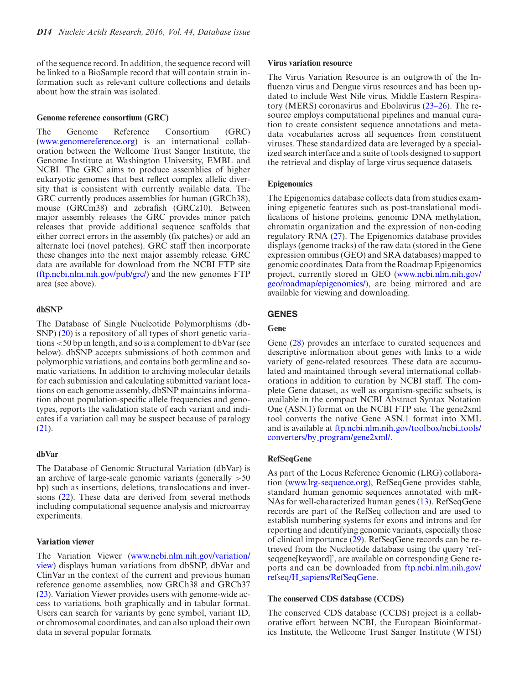of the sequence record. In addition, the sequence record will be linked to a BioSample record that will contain strain information such as relevant culture collections and details about how the strain was isolated.

#### **Genome reference consortium (GRC)**

The Genome Reference Consortium (GRC) [\(www.genomereference.org\)](http://www.genomereference.org) is an international collaboration between the Wellcome Trust Sanger Institute, the Genome Institute at Washington University, EMBL and NCBI. The GRC aims to produce assemblies of higher eukaryotic genomes that best reflect complex allelic diversity that is consistent with currently available data. The GRC currently produces assemblies for human (GRCh38), mouse (GRCm38) and zebrafish (GRCz10). Between major assembly releases the GRC provides minor patch releases that provide additional sequence scaffolds that either correct errors in the assembly (fix patches) or add an alternate loci (novel patches). GRC staff then incorporate these changes into the next major assembly release. GRC data are available for download from the NCBI FTP site [\(ftp.ncbi.nlm.nih.gov/pub/grc/\)](ftp://ftp.ncbi.nlm.nih.gov/pub/grc/) and the new genomes FTP area (see above).

### **dbSNP**

The Database of Single Nucleotide Polymorphisms (db-SNP) [\(20\)](#page-11-0) is a repository of all types of short genetic variations <50 bp in length, and so is a complement to dbVar (see below). dbSNP accepts submissions of both common and polymorphic variations, and contains both germline and somatic variations. In addition to archiving molecular details for each submission and calculating submitted variant locations on each genome assembly, dbSNP maintains information about population-specific allele frequencies and genotypes, reports the validation state of each variant and indicates if a variation call may be suspect because of paralogy  $(21)$ .

# **dbVar**

The Database of Genomic Structural Variation (dbVar) is an archive of large-scale genomic variants (generally  $>50$ ) bp) such as insertions, deletions, translocations and inversions [\(22\)](#page-11-0). These data are derived from several methods including computational sequence analysis and microarray experiments.

### **Variation viewer**

The Variation Viewer (www.ncbi.nlm.nih.gov/variation/ [view\) displays human variations from dbSNP, dbVar and](http://www.ncbi.nlm.nih.gov/variation/view) ClinVar in the context of the current and previous human reference genome assemblies, now GRCh38 and GRCh37 [\(23\)](#page-11-0). Variation Viewer provides users with genome-wide access to variations, both graphically and in tabular format. Users can search for variants by gene symbol, variant ID, or chromosomal coordinates, and can also upload their own data in several popular formats.

### **Virus variation resource**

The Virus Variation Resource is an outgrowth of the Influenza virus and Dengue virus resources and has been updated to include West Nile virus, Middle Eastern Respiratory (MERS) coronavirus and Ebolavirus [\(23–26\)](#page-11-0). The resource employs computational pipelines and manual curation to create consistent sequence annotations and metadata vocabularies across all sequences from constituent viruses. These standardized data are leveraged by a specialized search interface and a suite of tools designed to support the retrieval and display of large virus sequence datasets.

### **Epigenomics**

The Epigenomics database collects data from studies examining epigenetic features such as post-translational modifications of histone proteins, genomic DNA methylation, chromatin organization and the expression of non-coding regulatory RNA [\(27\)](#page-11-0). The Epigenomics database provides displays (genome tracks) of the raw data (stored in the Gene expression omnibus (GEO) and SRA databases) mapped to genomic coordinates. Data from the Roadmap Epigenomics project, currently stored in GEO (www.ncbi.nlm.nih.gov/ [geo/roadmap/epigenomics/\), are being mirrored and are](http://www.ncbi.nlm.nih.gov/geo/roadmap/epigenomics/) available for viewing and downloading.

# **GENES**

### **Gene**

Gene [\(28\)](#page-11-0) provides an interface to curated sequences and descriptive information about genes with links to a wide variety of gene-related resources. These data are accumulated and maintained through several international collaborations in addition to curation by NCBI staff. The complete Gene dataset, as well as organism-specific subsets, is available in the compact NCBI Abstract Syntax Notation One (ASN.1) format on the NCBI FTP site. The gene2xml tool converts the native Gene ASN.1 format into XML and is available at [ftp.ncbi.nlm.nih.gov/toolbox/ncbi](ftp://ftp.ncbi.nlm.nih.gov/toolbox/ncbi_tools/converters/by_program/gene2xml/)\_tools/ converters/by program/gene2xml/.

# **RefSeqGene**

As part of the Locus Reference Genomic (LRG) collaboration [\(www.lrg-sequence.org\)](http://www.lrg-sequence.org), RefSeqGene provides stable, standard human genomic sequences annotated with mR-NAs for well-characterized human genes [\(13\)](#page-10-0). RefSeqGene records are part of the RefSeq collection and are used to establish numbering systems for exons and introns and for reporting and identifying genomic variants, especially those of clinical importance [\(29\)](#page-11-0). RefSeqGene records can be retrieved from the Nucleotide database using the query 'refseqgene[keyword]', are available on corresponding Gene re[ports and can be downloaded from](ftp://ftp.ncbi.nlm.nih.gov/refseq/H_sapiens/RefSeqGene) ftp.ncbi.nlm.nih.gov/ refseq/H sapiens/RefSeqGene.

# **The conserved CDS database (CCDS)**

The conserved CDS database (CCDS) project is a collaborative effort between NCBI, the European Bioinformatics Institute, the Wellcome Trust Sanger Institute (WTSI)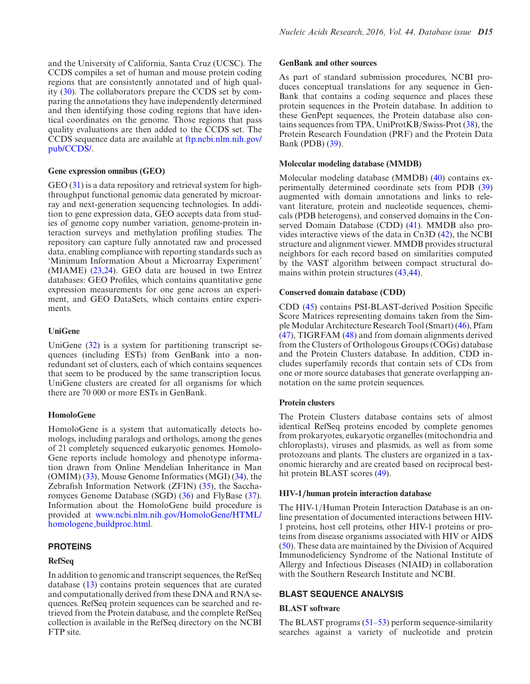and the University of California, Santa Cruz (UCSC). The CCDS compiles a set of human and mouse protein coding regions that are consistently annotated and of high quality [\(30\)](#page-11-0). The collaborators prepare the CCDS set by comparing the annotations they have independently determined and then identifying those coding regions that have identical coordinates on the genome. Those regions that pass quality evaluations are then added to the CCDS set. The [CCDS sequence data are available at](ftp://ftp.ncbi.nlm.nih.gov/pub/CCDS/) ftp.ncbi.nlm.nih.gov/ pub/CCDS/.

# **Gene expression omnibus (GEO)**

GEO [\(31\)](#page-11-0) is a data repository and retrieval system for highthroughput functional genomic data generated by microarray and next-generation sequencing technologies. In addition to gene expression data, GEO accepts data from studies of genome copy number variation, genome-protein interaction surveys and methylation profiling studies. The repository can capture fully annotated raw and processed data, enabling compliance with reporting standards such as 'Minimum Information About a Microarray Experiment' (MIAME) [\(23,24\)](#page-11-0). GEO data are housed in two Entrez databases: GEO Profiles, which contains quantitative gene expression measurements for one gene across an experiment, and GEO DataSets, which contains entire experiments.

# **UniGene**

UniGene [\(32\)](#page-11-0) is a system for partitioning transcript sequences (including ESTs) from GenBank into a nonredundant set of clusters, each of which contains sequences that seem to be produced by the same transcription locus. UniGene clusters are created for all organisms for which there are 70 000 or more ESTs in GenBank.

# **HomoloGene**

HomoloGene is a system that automatically detects homologs, including paralogs and orthologs, among the genes of 21 completely sequenced eukaryotic genomes. Homolo-Gene reports include homology and phenotype information drawn from Online Mendelian Inheritance in Man (OMIM) [\(33\)](#page-11-0), Mouse Genome Informatics (MGI) [\(34\)](#page-11-0), the Zebrafish Information Network (ZFIN) [\(35\)](#page-11-0), the Saccharomyces Genome Database (SGD) [\(36\)](#page-11-0) and FlyBase [\(37\)](#page-11-0). Information about the HomoloGene build procedure is provided at [www.ncbi.nlm.nih.gov/HomoloGene/HTML/](http://www.ncbi.nlm.nih.gov/HomoloGene/HTML/homologene_buildproc.html) homologene buildproc.html.

# **PROTEINS**

# **RefSeq**

In addition to genomic and transcript sequences, the RefSeq database [\(13\)](#page-10-0) contains protein sequences that are curated and computationally derived from these DNA and RNA sequences. RefSeq protein sequences can be searched and retrieved from the Protein database, and the complete RefSeq collection is available in the RefSeq directory on the NCBI FTP site.

# **GenBank and other sources**

As part of standard submission procedures, NCBI produces conceptual translations for any sequence in Gen-Bank that contains a coding sequence and places these protein sequences in the Protein database. In addition to these GenPept sequences, the Protein database also contains sequences from TPA, UniProtKB/Swiss-Prot [\(38\)](#page-11-0), the Protein Research Foundation (PRF) and the Protein Data Bank (PDB) [\(39\)](#page-11-0).

# **Molecular modeling database (MMDB)**

Molecular modeling database (MMDB) [\(40\)](#page-11-0) contains experimentally determined coordinate sets from PDB [\(39\)](#page-11-0) augmented with domain annotations and links to relevant literature, protein and nucleotide sequences, chemicals (PDB heterogens), and conserved domains in the Conserved Domain Database (CDD) [\(41\)](#page-11-0). MMDB also provides interactive views of the data in Cn3D [\(42\)](#page-11-0), the NCBI structure and alignment viewer. MMDB provides structural neighbors for each record based on similarities computed by the VAST algorithm between compact structural domains within protein structures [\(43,44\)](#page-11-0).

# **Conserved domain database (CDD)**

CDD [\(45\)](#page-11-0) contains PSI-BLAST-derived Position Specific Score Matrices representing domains taken from the Simple Modular Architecture Research Tool (Smart) [\(46\)](#page-11-0), Pfam [\(47\)](#page-11-0), TIGRFAM [\(48\)](#page-11-0) and from domain alignments derived from the Clusters of Orthologous Groups (COGs) database and the Protein Clusters database. In addition, CDD includes superfamily records that contain sets of CDs from one or more source databases that generate overlapping annotation on the same protein sequences.

# **Protein clusters**

The Protein Clusters database contains sets of almost identical RefSeq proteins encoded by complete genomes from prokaryotes, eukaryotic organelles (mitochondria and chloroplasts), viruses and plasmids, as well as from some protozoans and plants. The clusters are organized in a taxonomic hierarchy and are created based on reciprocal besthit protein BLAST scores [\(49\)](#page-11-0).

# **HIV-1***/***human protein interaction database**

The HIV-1/Human Protein Interaction Database is an online presentation of documented interactions between HIV-1 proteins, host cell proteins, other HIV-1 proteins or proteins from disease organisms associated with HIV or AIDS [\(50\)](#page-11-0). These data are maintained by the Division of Acquired Immunodeficiency Syndrome of the National Institute of Allergy and Infectious Diseases (NIAID) in collaboration with the Southern Research Institute and NCBI.

# **BLAST SEQUENCE ANALYSIS**

### **BLAST software**

The BLAST programs [\(51–53\)](#page-11-0) perform sequence-similarity searches against a variety of nucleotide and protein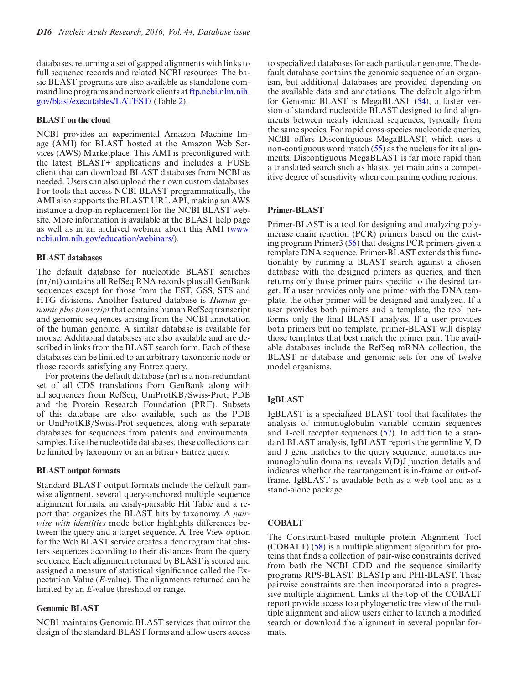databases, returning a set of gapped alignments with links to full sequence records and related NCBI resources. The basic BLAST programs are also available as standalone com[mand line programs and network clients at](ftp://ftp.ncbi.nlm.nih.gov/blast/executables/LATEST/) ftp.ncbi.nlm.nih. gov/blast/executables/LATEST/ (Table [2\)](#page-10-0).

### **BLAST on the cloud**

NCBI provides an experimental Amazon Machine Image (AMI) for BLAST hosted at the Amazon Web Services (AWS) Marketplace. This AMI is preconfigured with the latest BLAST+ applications and includes a FUSE client that can download BLAST databases from NCBI as needed. Users can also upload their own custom databases. For tools that access NCBI BLAST programmatically, the AMI also supports the BLAST URL API, making an AWS instance a drop-in replacement for the NCBI BLAST website. More information is available at the BLAST help page [as well as in an archived webinar about this AMI \(www.](http://www.ncbi.nlm.nih.gov/education/webinars/) ncbi.nlm.nih.gov/education/webinars/).

### **BLAST databases**

The default database for nucleotide BLAST searches (nr/nt) contains all RefSeq RNA records plus all GenBank sequences except for those from the EST, GSS, STS and HTG divisions. Another featured database is *Human genomic plus transcript* that contains human RefSeq transcript and genomic sequences arising from the NCBI annotation of the human genome. A similar database is available for mouse. Additional databases are also available and are described in links from the BLAST search form. Each of these databases can be limited to an arbitrary taxonomic node or those records satisfying any Entrez query.

For proteins the default database (nr) is a non-redundant set of all CDS translations from GenBank along with all sequences from RefSeq, UniProtKB/Swiss-Prot, PDB and the Protein Research Foundation (PRF). Subsets of this database are also available, such as the PDB or UniProtKB/Swiss-Prot sequences, along with separate databases for sequences from patents and environmental samples. Like the nucleotide databases, these collections can be limited by taxonomy or an arbitrary Entrez query.

### **BLAST output formats**

Standard BLAST output formats include the default pairwise alignment, several query-anchored multiple sequence alignment formats, an easily-parsable Hit Table and a report that organizes the BLAST hits by taxonomy. A *pairwise with identities* mode better highlights differences between the query and a target sequence. A Tree View option for the Web BLAST service creates a dendrogram that clusters sequences according to their distances from the query sequence. Each alignment returned by BLAST is scored and assigned a measure of statistical significance called the Expectation Value (*E*-value). The alignments returned can be limited by an *E*-value threshold or range.

## **Genomic BLAST**

NCBI maintains Genomic BLAST services that mirror the design of the standard BLAST forms and allow users access

to specialized databases for each particular genome. The default database contains the genomic sequence of an organism, but additional databases are provided depending on the available data and annotations. The default algorithm for Genomic BLAST is MegaBLAST [\(54\)](#page-11-0), a faster version of standard nucleotide BLAST designed to find alignments between nearly identical sequences, typically from the same species. For rapid cross-species nucleotide queries, NCBI offers Discontiguous MegaBLAST, which uses a non-contiguous word match [\(55\)](#page-11-0) as the nucleus for its alignments. Discontiguous MegaBLAST is far more rapid than a translated search such as blastx, yet maintains a competitive degree of sensitivity when comparing coding regions.

### **Primer-BLAST**

Primer-BLAST is a tool for designing and analyzing polymerase chain reaction (PCR) primers based on the existing program Primer3 [\(56\)](#page-11-0) that designs PCR primers given a template DNA sequence. Primer-BLAST extends this functionality by running a BLAST search against a chosen database with the designed primers as queries, and then returns only those primer pairs specific to the desired target. If a user provides only one primer with the DNA template, the other primer will be designed and analyzed. If a user provides both primers and a template, the tool performs only the final BLAST analysis. If a user provides both primers but no template, primer-BLAST will display those templates that best match the primer pair. The available databases include the RefSeq mRNA collection, the BLAST nr database and genomic sets for one of twelve model organisms.

### **IgBLAST**

IgBLAST is a specialized BLAST tool that facilitates the analysis of immunoglobulin variable domain sequences and T-cell receptor sequences [\(57\)](#page-12-0). In addition to a standard BLAST analysis, IgBLAST reports the germline V, D and J gene matches to the query sequence, annotates immunoglobulin domains, reveals V(D)J junction details and indicates whether the rearrangement is in-frame or out-offrame. IgBLAST is available both as a web tool and as a stand-alone package.

# **COBALT**

The Constraint-based multiple protein Alignment Tool (COBALT) [\(58\)](#page-12-0) is a multiple alignment algorithm for proteins that finds a collection of pair-wise constraints derived from both the NCBI CDD and the sequence similarity programs RPS-BLAST, BLASTp and PHI-BLAST. These pairwise constraints are then incorporated into a progressive multiple alignment. Links at the top of the COBALT report provide access to a phylogenetic tree view of the multiple alignment and allow users either to launch a modified search or download the alignment in several popular formats.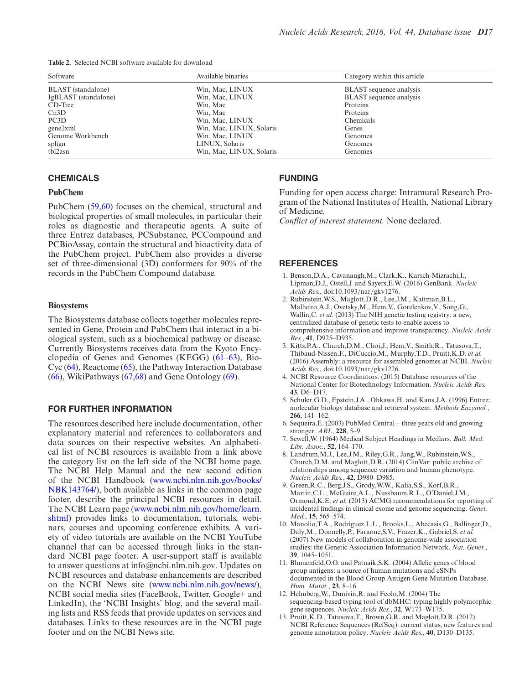<span id="page-10-0"></span>**Table 2.** Selected NCBI software available for download

| Software             | Available binaries       | Category within this article   |  |
|----------------------|--------------------------|--------------------------------|--|
| BLAST (standalone)   | Win, Mac, LINUX          | BLAST sequence analysis        |  |
| IgBLAST (standalone) | Win, Mac, LINUX          | <b>BLAST</b> sequence analysis |  |
| $CD$ -Tree           | Win. Mac                 | Proteins                       |  |
| Cn3D                 | Win. Mac                 | Proteins                       |  |
| PC3D                 | Win, Mac, LINUX          | Chemicals                      |  |
| gene2xml             | Win, Mac, LINUX, Solaris | Genes                          |  |
| Genome Workbench     | Win, Mac, LINUX          | Genomes                        |  |
| splign               | LINUX, Solaris           | Genomes                        |  |
| tbl2asn              | Win, Mac, LINUX, Solaris | Genomes                        |  |

# **CHEMICALS**

# **PubChem**

PubChem [\(59,60\)](#page-12-0) focuses on the chemical, structural and biological properties of small molecules, in particular their roles as diagnostic and therapeutic agents. A suite of three Entrez databases, PCSubstance, PCCompound and PCBioAssay, contain the structural and bioactivity data of the PubChem project. PubChem also provides a diverse set of three-dimensional (3D) conformers for 90% of the records in the PubChem Compound database.

# **Biosystems**

The Biosystems database collects together molecules represented in Gene, Protein and PubChem that interact in a biological system, such as a biochemical pathway or disease. Currently Biosystems receives data from the Kyoto Encyclopedia of Genes and Genomes (KEGG) [\(61–63\)](#page-12-0), Bio-Cyc [\(64\)](#page-12-0), Reactome [\(65\)](#page-12-0), the Pathway Interaction Database  $(66)$ , WikiPathways  $(67,68)$  and Gene Ontology  $(69)$ .

# **FOR FURTHER INFORMATION**

The resources described here include documentation, other explanatory material and references to collaborators and data sources on their respective websites. An alphabetical list of NCBI resources is available from a link above the category list on the left side of the NCBI home page. The NCBI Help Manual and the new second edition [of the NCBI Handbook \(www.ncbi.nlm.nih.gov/books/](http://www.ncbi.nlm.nih.gov/books/NBK143764/) NBK143764/), both available as links in the common page footer, describe the principal NCBI resources in detail. [The NCBI Learn page \(www.ncbi.nlm.nih.gov/home/learn.](http://www.ncbi.nlm.nih.gov/home/learn.shtml) shtml) provides links to documentation, tutorials, webinars, courses and upcoming conference exhibits. A variety of video tutorials are available on the NCBI YouTube channel that can be accessed through links in the standard NCBI page footer. A user-support staff is available to answer questions at info@ncbi.nlm.nih.gov. Updates on NCBI resources and database enhancements are described on the NCBI News site [\(www.ncbi.nlm.nih.gov/news/\)](http://www.ncbi.nlm.nih.gov/news/), NCBI social media sites (FaceBook, Twitter, Google+ and LinkedIn), the 'NCBI Insights' blog, and the several mailing lists and RSS feeds that provide updates on services and databases. Links to these resources are in the NCBI page footer and on the NCBI News site.

# **FUNDING**

Funding for open access charge: Intramural Research Program of the National Institutes of Health, National Library of Medicine.

*Conflict of interest statement.* None declared.

#### **REFERENCES**

- 1. Benson,D.A., Cavanaugh,M., Clark,K., Karsch-Mizrachi,I., Lipman,D.J., Ostell,J. and Sayers,E.W. (2016) GenBank. *Nucleic Acids Res.*, doi:10.1093/nar/gkv1276.
- 2. Rubinstein,W.S., Maglott,D.R., Lee,J.M., Kattman,B.L., Malheiro,A.J., Ovetsky,M., Hem,V., Gorelenkov,V., Song,G., Wallin, C. *et al.* (2013) The NIH genetic testing registry: a new, centralized database of genetic tests to enable access to comprehensive information and improve transparency. *Nucleic Acids Res.*, **41**, D925–D935.
- 3. Kitts,P.A., Church,D.M., Choi,J., Hem,V., Smith,R., Tatusova,T., Thibaud-Nissen,F., DiCuccio,M., Murphy,T.D., Pruitt,K.D. *et al.* (2016) Assembly: a resource for assembled genomes at NCBI. *Nucleic Acids Res.*, doi:10.1093/nar/gkv1226.
- 4. NCBI Resource Coordinators. (2015) Database resources of the National Center for Biotechnology Information. *Nucleic Acids Res.* **43**, D6–D17.
- 5. Schuler,G.D., Epstein,J.A., Ohkawa,H. and Kans,J.A. (1996) Entrez: molecular biology database and retrieval system. *Methods Enzymol.*, **266**, 141–162.
- 6. Sequeira,E. (2003) PubMed Central––three years old and growing stronger. *ARL*, **228**, 5–9.
- 7. Sewell,W. (1964) Medical Subject Headings in Medlars. *Bull. Med. Libr. Assoc.*, **52**, 164–170.
- 8. Landrum,M.J., Lee,J.M., Riley,G.R., Jang,W., Rubinstein,W.S., Church,D.M. and Maglott,D.R. (2014) ClinVar: public archive of relationships among sequence variation and human phenotype. *Nucleic Acids Res.*, **42**, D980–D985.
- 9. Green,R.C., Berg,J.S., Grody,W.W., Kalia,S.S., Korf,B.R., Martin,C.L., McGuire,A.L., Nussbaum,R.L., O'Daniel,J.M., Ormond,K.E. *et al.* (2013) ACMG recommendations for reporting of incidental findings in clinical exome and genome sequencing. *Genet. Med.*, **15**, 565–574.
- 10. Manolio,T.A., Rodriguez,L.L., Brooks,L., Abecasis,G., Ballinger,D., Daly,M., Donnelly,P., Faraone,S.V., Frazer,K., Gabriel,S. *et al.* (2007) New models of collaboration in genome-wide association studies: the Genetic Association Information Network. *Nat. Genet.*, **39**, 1045–1051.
- 11. Blumenfeld,O.O. and Patnaik,S.K. (2004) Allelic genes of blood group antigens: a source of human mutations and cSNPs documented in the Blood Group Antigen Gene Mutation Database. *Hum. Mutat.*, **23**, 8–16.
- 12. Helmberg,W., Dunivin,R. and Feolo,M. (2004) The sequencing-based typing tool of dbMHC: typing highly polymorphic gene sequences. *Nucleic Acids Res.*, **32**, W173–W175.
- 13. Pruitt,K.D., Tatusova,T., Brown,G.R. and Maglott,D.R. (2012) NCBI Reference Sequences (RefSeq): current status, new features and genome annotation policy. *Nucleic Acids Res.*, **40**, D130–D135.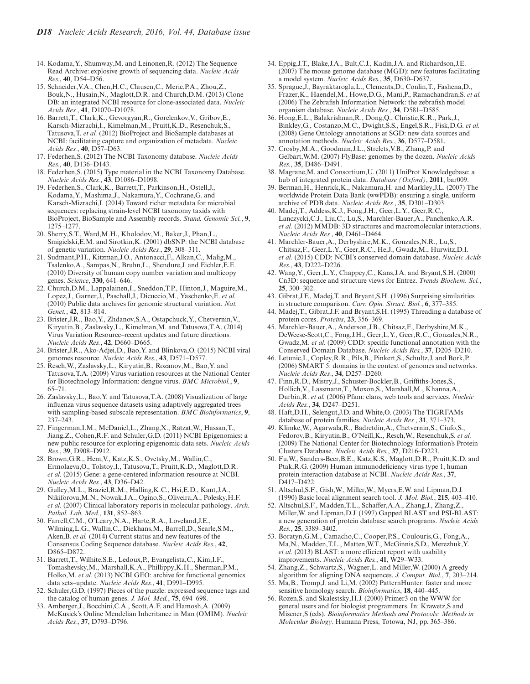- <span id="page-11-0"></span>14. Kodama,Y., Shumway,M. and Leinonen,R. (2012) The Sequence Read Archive: explosive growth of sequencing data. *Nucleic Acids Res.*, **40**, D54–D56.
- 15. Schneider,V.A., Chen,H.C., Clausen,C., Meric,P.A., Zhou,Z., Bouk,N., Husain,N., Maglott,D.R. and Church,D.M. (2013) Clone DB: an integrated NCBI resource for clone-associated data. *Nucleic Acids Res.*, **41**, D1070–D1078.
- 16. Barrett,T., Clark,K., Gevorgyan,R., Gorelenkov,V., Gribov,E., Karsch-Mizrachi,I., Kimelman,M., Pruitt,K.D., Resenchuk,S., Tatusova,T. *et al.* (2012) BioProject and BioSample databases at NCBI: facilitating capture and organization of metadata. *Nucleic Acids Res.*, **40**, D57–D63.
- 17. Federhen,S. (2012) The NCBI Taxonomy database. *Nucleic Acids Res.*, **40**, D136–D143.
- 18. Federhen,S. (2015) Type material in the NCBI Taxonomy Database. *Nucleic Acids Res.*, **43**, D1086–D1098.
- 19. Federhen,S., Clark,K., Barrett,T., Parkinson,H., Ostell,J., Kodama,Y., Mashima,J., Nakamura,Y., Cochrane,G. and Karsch-Mizrachi,I. (2014) Toward richer metadata for microbial sequences: replacing strain-level NCBI taxonomy taxids with BioProject, BioSample and Assembly records. *Stand. Genomic Sci.*, **9**, 1275–1277.
- 20. Sherry,S.T., Ward,M.H., Kholodov,M., Baker,J., Phan,L., Smigielski,E.M. and Sirotkin,K. (2001) dbSNP: the NCBI database of genetic variation. *Nucleic Acids Res.*, **29**, 308–311.
- 21. Sudmant,P.H., Kitzman,J.O., Antonacci,F., Alkan,C., Malig,M., Tsalenko,A., Sampas,N., Bruhn,L., Shendure,J. and Eichler,E.E. (2010) Diversity of human copy number variation and multicopy genes. *Science*, **330**, 641–646.
- 22. Church,D.M., Lappalainen,I., Sneddon,T.P., Hinton,J., Maguire,M., Lopez,J., Garner,J., Paschall,J., Dicuccio,M., Yaschenko,E. *et al.* (2010) Public data archives for genomic structural variation. *Nat. Genet.*, **42**, 813–814.
- 23. Brister,J.R., Bao,Y., Zhdanov,S.A., Ostapchuck,Y., Chetvernin,V., Kiryutin,B., Zaslavsky,L., Kimelman,M. and Tatusova,T.A. (2014) Virus Variation Resource–recent updates and future directions. *Nucleic Acids Res.*, **42**, D660–D665.
- 24. Brister,J.R., Ako-Adjei,D., Bao,Y. and Blinkova,O. (2015) NCBI viral genomes resource. *Nucleic Acids Res.*, **43**, D571–D577.
- 25. Resch,W., Zaslavsky,L., Kiryutin,B., Rozanov,M., Bao,Y. and Tatusova,T.A. (2009) Virus variation resources at the National Center for Biotechnology Information: dengue virus. *BMC Microbiol.*, **9**, 65–71.
- 26. Zaslavsky,L., Bao,Y. and Tatusova,T.A. (2008) Visualization of large influenza virus sequence datasets using adaptively aggregated trees with sampling-based subscale representation. *BMC Bioinformatics*, **9**, 237–243.
- 27. Fingerman,I.M., McDaniel,L., Zhang,X., Ratzat,W., Hassan,T., Jiang,Z., Cohen,R.F. and Schuler,G.D. (2011) NCBI Epigenomics: a new public resource for exploring epigenomic data sets. *Nucleic Acids Res.*, **39**, D908–D912.
- 28. Brown,G.R., Hem,V., Katz,K.S., Ovetsky,M., Wallin,C., Ermolaeva,O., Tolstoy,I., Tatusova,T., Pruitt,K.D., Maglott,D.R. *et al.* (2015) Gene: a gene-centered information resource at NCBI. *Nucleic Acids Res.*, **43**, D36–D42.
- 29. Gulley,M.L., Braziel,R.M., Halling,K.C., Hsi,E.D., Kant,J.A., Nikiforova,M.N., Nowak,J.A., Ogino,S., Oliveira,A., Polesky,H.F. *et al.* (2007) Clinical laboratory reports in molecular pathology. *Arch. Pathol. Lab. Med.*, **131**, 852–863.
- 30. Farrell,C.M., O'Leary,N.A., Harte,R.A., Loveland,J.E., Wilming,L.G., Wallin,C., Diekhans,M., Barrell,D., Searle,S.M., Aken,B. *et al.* (2014) Current status and new features of the Consensus Coding Sequence database. *Nucleic Acids Res.*, **42**, D865–D872.
- 31. Barrett,T., Wilhite,S.E., Ledoux,P., Evangelista,C., Kim,I.F., Tomashevsky,M., Marshall,K.A., Phillippy,K.H., Sherman,P.M., Holko,M. *et al.* (2013) NCBI GEO: archive for functional genomics data sets–update. *Nucleic Acids Res.*, **41**, D991–D995.
- 32. Schuler,G.D. (1997) Pieces of the puzzle: expressed sequence tags and the catalog of human genes. *J. Mol. Med.*, **75**, 694–698.
- 33. Amberger,J., Bocchini,C.A., Scott,A.F. and Hamosh,A. (2009) McKusick's Online Mendelian Inheritance in Man (OMIM). *Nucleic Acids Res.*, **37**, D793–D796.
- 34. Eppig,J.T., Blake,J.A., Bult,C.J., Kadin,J.A. and Richardson,J.E.  $(2007)$  The mouse genome database (MGD): new features facilitating a model system. *Nucleic Acids Res.*, **35**, D630–D637.
- 35. Sprague,J., Bayraktaroglu,L., Clements,D., Conlin,T., Fashena,D., Frazer,K., Haendel,M., Howe,D.G., Mani,P., Ramachandran,S. *et al.* (2006) The Zebrafish Information Network: the zebrafish model organism database. *Nucleic Acids Res.*, **34**, D581–D585.
- 36. Hong,E.L., Balakrishnan,R., Dong,Q., Christie,K.R., Park,J., Binkley,G., Costanzo,M.C., Dwight,S.S., Engel,S.R., Fisk,D.G. *et al.* (2008) Gene Ontology annotations at SGD: new data sources and annotation methods. *Nucleic Acids Res.*, **36**, D577–D581.
- 37. Crosby,M.A., Goodman,J.L., Strelets,V.B., Zhang,P. and Gelbart,W.M. (2007) FlyBase: genomes by the dozen. *Nucleic Acids Res.*, **35**, D486–D491.
- 38. Magrane,M. and Consortium,U. (2011) UniProt Knowledgebase: a hub of integrated protein data. *Database (Oxford)*, **2011**, bar009.
- 39. Berman,H., Henrick,K., Nakamura,H. and Markley,J.L. (2007) The worldwide Protein Data Bank (wwPDB): ensuring a single, uniform archive of PDB data. *Nucleic Acids Res.*, **35**, D301–D303.
- 40. Madej,T., Addess,K.J., Fong,J.H., Geer,L.Y., Geer,R.C., Lanczycki,C.J., Liu,C., Lu,S., Marchler-Bauer,A., Panchenko,A.R. *et al.* (2012) MMDB: 3D structures and macromolecular interactions. *Nucleic Acids Res.*, **40**, D461–D464.
- 41. Marchler-Bauer,A., Derbyshire,M.K., Gonzales,N.R., Lu,S., Chitsaz,F., Geer,L.Y., Geer,R.C., He,J., Gwadz,M., Hurwitz,D.I. *et al.* (2015) CDD: NCBI's conserved domain database. *Nucleic Acids Res.*, **43**, D222–D226.
- 42. Wang,Y., Geer,L.Y., Chappey,C., Kans,J.A. and Bryant,S.H. (2000) Cn3D: sequence and structure views for Entrez. *Trends Biochem. Sci.*, **25**, 300–302.
- 43. Gibrat,J.F., Madej,T. and Bryant,S.H. (1996) Surprising similarities in structure comparison. *Curr. Opin. Struct. Biol.*, **6**, 377–385.
- 44. Madej,T., Gibrat,J.F. and Bryant,S.H. (1995) Threading a database of protein cores. *Proteins*, **23**, 356–369.
- 45. Marchler-Bauer,A., Anderson,J.B., Chitsaz,F., Derbyshire,M.K., DeWeese-Scott,C., Fong,J.H., Geer,L.Y., Geer,R.C., Gonzales,N.R., Gwadz,M. *et al.* (2009) CDD: specific functional annotation with the Conserved Domain Database. *Nucleic Acids Res.*, **37**, D205–D210.
- 46. Letunic,I., Copley,R.R., Pils,B., Pinkert,S., Schultz,J. and Bork,P. (2006) SMART 5: domains in the context of genomes and networks. *Nucleic Acids Res.*, **34**, D257–D260.
- 47. Finn,R.D., Mistry,J., Schuster-Bockler,B., Griffiths-Jones,S., Hollich,V., Lassmann,T., Moxon,S., Marshall,M., Khanna,A., Durbin,R. *et al.* (2006) Pfam: clans, web tools and services. *Nucleic Acids Res.*, **34**, D247–D251.
- 48. Haft,D.H., Selengut,J.D. and White,O. (2003) The TIGRFAMs database of protein families. *Nucleic Acids Res.*, **31**, 371–373.
- 49. Klimke,W., Agarwala,R., Badretdin,A., Chetvernin,S., Ciufo,S., Fedorov,B., Kiryutin,B., O'Neill,K., Resch,W., Resenchuk,S. *et al.* (2009) The National Center for Biotechnology Information's Protein Clusters Database. *Nucleic Acids Res.*, **37**, D216–D223.
- 50. Fu,W., Sanders-Beer,B.E., Katz,K.S., Maglott,D.R., Pruitt,K.D. and Ptak,R.G. (2009) Human immunodeficiency virus type 1, human protein interaction database at NCBI. *Nucleic Acids Res.*, **37**, D417–D422.
- 51. Altschul,S.F., Gish,W., Miller,W., Myers,E.W. and Lipman,D.J. (1990) Basic local alignment search tool. *J. Mol. Biol.*, **215**, 403–410.
- 52. Altschul,S.F., Madden,T.L., Schaffer,A.A., Zhang,J., Zhang,Z., Miller,W. and Lipman,D.J. (1997) Gapped BLAST and PSI-BLAST: a new generation of protein database search programs. *Nucleic Acids Res.*, **25**, 3389–3402.
- 53. Boratyn,G.M., Camacho,C., Cooper,P.S., Coulouris,G., Fong,A., Ma,N., Madden,T.L., Matten,W.T., McGinnis,S.D., Merezhuk,Y. *et al.* (2013) BLAST: a more efficient report with usability improvements. *Nucleic Acids Res.*, **41**, W29–W33.
- 54. Zhang,Z., Schwartz,S., Wagner,L. and Miller,W. (2000) A greedy algorithm for aligning DNA sequences. *J. Comput. Biol.*, **7**, 203–214.
- 55. Ma,B., Tromp,J. and Li,M. (2002) PatternHunter: faster and more sensitive homology search. *Bioinformatics*, **18**, 440–445.
- 56. Rozen,S. and Skalestsky,H.J. (2000) Primer3 on the WWW for general users and for biologist programmers. In: Krawetz,S and Misener,S (eds). *Bioinformatics Methods and Protocols: Methods in Molecular Biology*. Humana Press, Totowa, NJ, pp. 365–386.